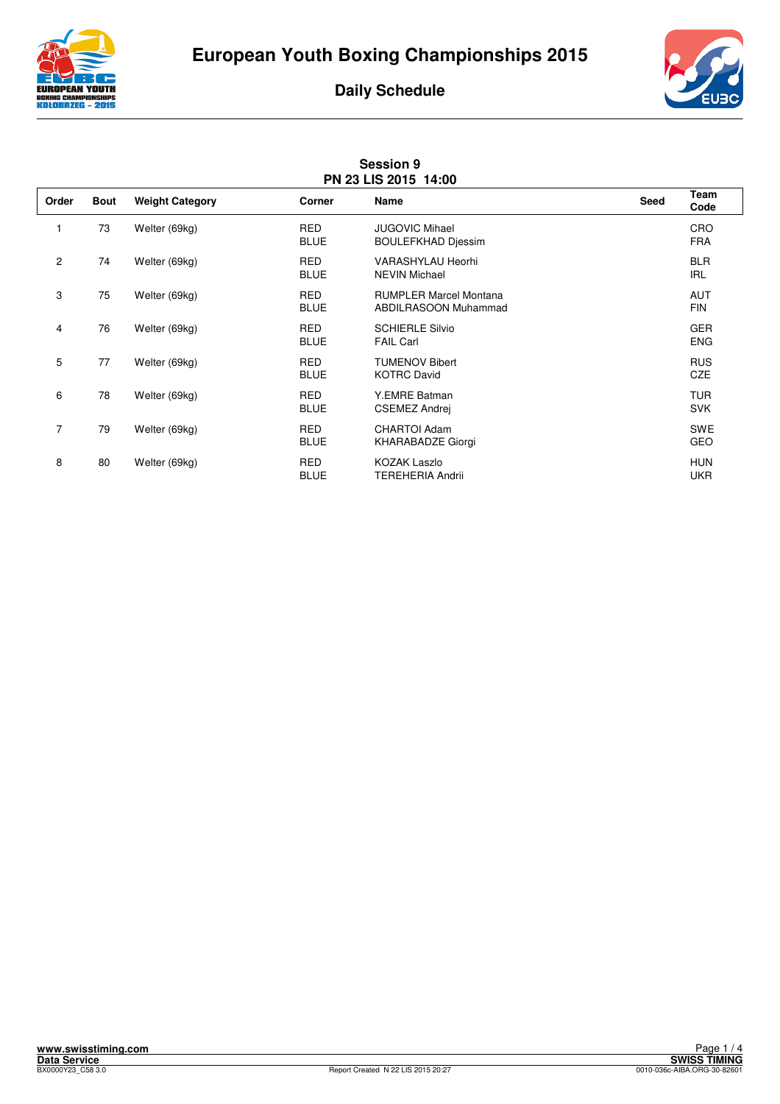





|                | <b>Session 9</b><br>PN 23 LIS 2015 14:00 |                        |                           |                                                              |             |                          |  |
|----------------|------------------------------------------|------------------------|---------------------------|--------------------------------------------------------------|-------------|--------------------------|--|
| Order          | <b>Bout</b>                              | <b>Weight Category</b> | Corner                    | Name                                                         | <b>Seed</b> | Team<br>Code             |  |
|                | 73                                       | Welter (69kg)          | <b>RED</b><br><b>BLUE</b> | <b>JUGOVIC Mihael</b><br><b>BOULEFKHAD Djessim</b>           |             | <b>CRO</b><br><b>FRA</b> |  |
| 2              | 74                                       | Welter (69kg)          | <b>RED</b><br><b>BLUE</b> | <b>VARASHYLAU Heorhi</b><br><b>NEVIN Michael</b>             |             | <b>BLR</b><br><b>IRL</b> |  |
| 3              | 75                                       | Welter (69kg)          | <b>RED</b><br><b>BLUE</b> | <b>RUMPLER Marcel Montana</b><br><b>ABDILRASOON Muhammad</b> |             | <b>AUT</b><br><b>FIN</b> |  |
| 4              | 76                                       | Welter (69kg)          | <b>RED</b><br><b>BLUE</b> | <b>SCHIERLE Silvio</b><br><b>FAIL Carl</b>                   |             | <b>GER</b><br><b>ENG</b> |  |
| 5              | 77                                       | Welter (69kg)          | <b>RED</b><br><b>BLUE</b> | <b>TUMENOV Bibert</b><br><b>KOTRC David</b>                  |             | <b>RUS</b><br><b>CZE</b> |  |
| 6              | 78                                       | Welter (69kg)          | <b>RED</b><br><b>BLUE</b> | Y.EMRE Batman<br><b>CSEMEZ Andrej</b>                        |             | <b>TUR</b><br><b>SVK</b> |  |
| $\overline{7}$ | 79                                       | Welter (69kg)          | <b>RED</b><br><b>BLUE</b> | <b>CHARTOI Adam</b><br><b>KHARABADZE Giorgi</b>              |             | <b>SWE</b><br><b>GEO</b> |  |
| 8              | 80                                       | Welter (69kg)          | <b>RED</b><br><b>BLUE</b> | <b>KOZAK Laszlo</b><br><b>TEREHERIA Andrii</b>               |             | <b>HUN</b><br><b>UKR</b> |  |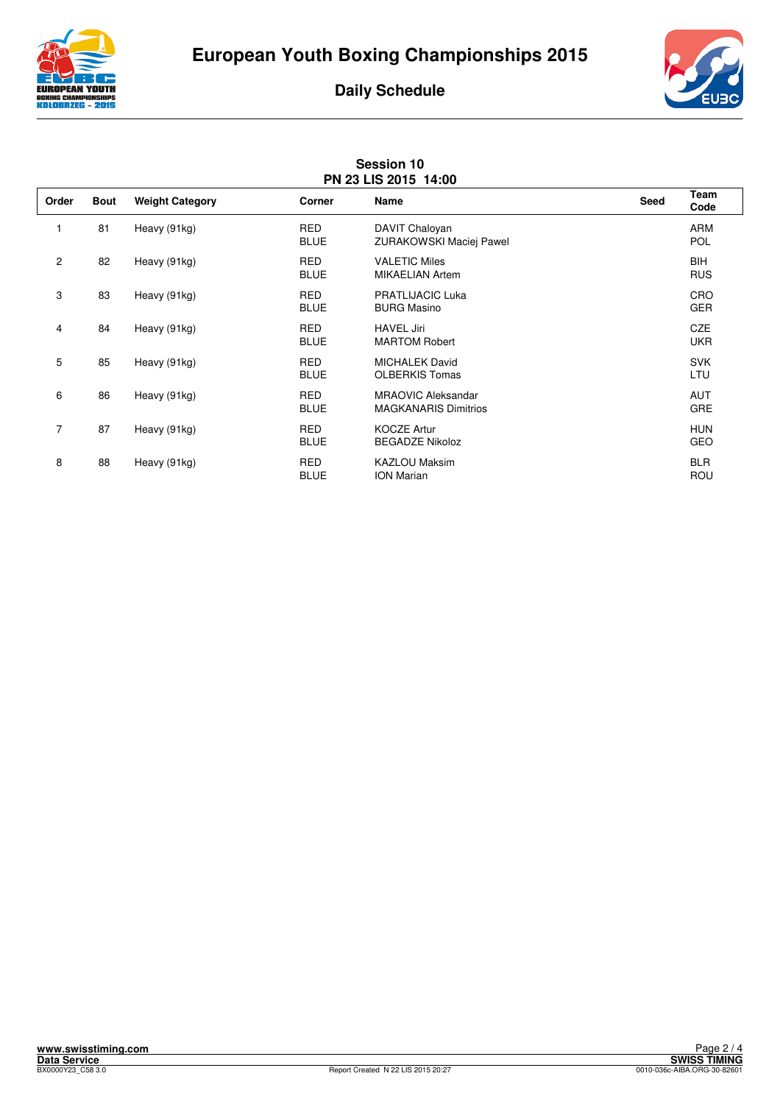





| <b>Session 10</b><br>PN 23 LIS 2015 14:00 |             |                        |                           |                                                          |      |                          |
|-------------------------------------------|-------------|------------------------|---------------------------|----------------------------------------------------------|------|--------------------------|
| Order                                     | <b>Bout</b> | <b>Weight Category</b> | <b>Corner</b>             | Name                                                     | Seed | Team<br>Code             |
|                                           | 81          | Heavy (91kg)           | <b>RED</b><br><b>BLUE</b> | DAVIT Chaloyan<br>ZURAKOWSKI Maciej Pawel                |      | ARM<br>POL               |
| $\overline{c}$                            | 82          | Heavy (91kg)           | <b>RED</b><br><b>BLUE</b> | <b>VALETIC Miles</b><br><b>MIKAELIAN Artem</b>           |      | <b>BIH</b><br><b>RUS</b> |
| 3                                         | 83          | Heavy (91kg)           | <b>RED</b><br><b>BLUE</b> | <b>PRATLIJACIC Luka</b><br><b>BURG Masino</b>            |      | CRO<br><b>GER</b>        |
| 4                                         | 84          | Heavy (91kg)           | <b>RED</b><br><b>BLUE</b> | <b>HAVEL Jiri</b><br><b>MARTOM Robert</b>                |      | CZE<br><b>UKR</b>        |
| 5                                         | 85          | Heavy (91kg)           | <b>RED</b><br><b>BLUE</b> | <b>MICHALEK David</b><br><b>OLBERKIS Tomas</b>           |      | <b>SVK</b><br>LTU        |
| 6                                         | 86          | Heavy (91kg)           | <b>RED</b><br><b>BLUE</b> | <b>MRAOVIC Aleksandar</b><br><b>MAGKANARIS Dimitrios</b> |      | <b>AUT</b><br>GRE        |
| $\overline{7}$                            | 87          | Heavy (91kg)           | <b>RED</b><br><b>BLUE</b> | <b>KOCZE Artur</b><br><b>BEGADZE Nikoloz</b>             |      | <b>HUN</b><br><b>GEO</b> |
| 8                                         | 88          | Heavy (91kg)           | <b>RED</b><br><b>BLUE</b> | <b>KAZLOU Maksim</b><br><b>ION Marian</b>                |      | <b>BLR</b><br>ROU        |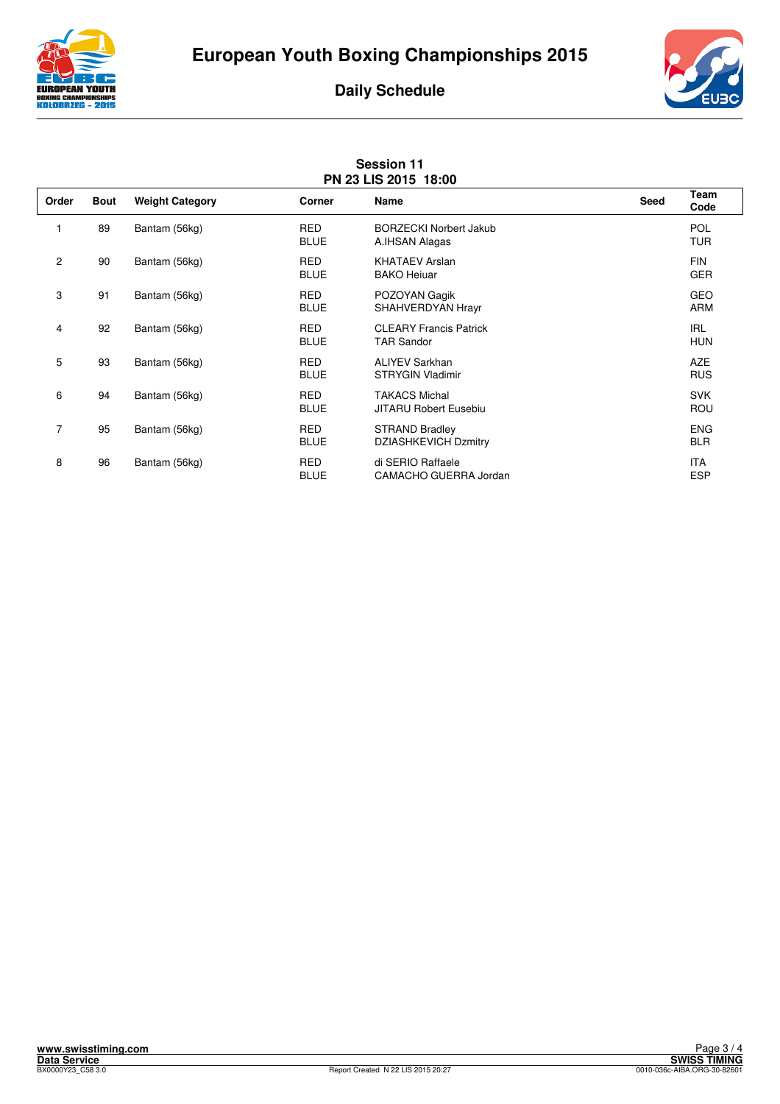





| <b>Session 11</b><br>PN 23 LIS 2015 18:00 |             |                        |                           |                                                      |             |                          |
|-------------------------------------------|-------------|------------------------|---------------------------|------------------------------------------------------|-------------|--------------------------|
| Order                                     | <b>Bout</b> | <b>Weight Category</b> | <b>Corner</b>             | <b>Name</b>                                          | <b>Seed</b> | Team<br>Code             |
|                                           | 89          | Bantam (56kg)          | <b>RED</b><br><b>BLUE</b> | <b>BORZECKI Norbert Jakub</b><br>A.IHSAN Alagas      |             | <b>POL</b><br><b>TUR</b> |
| 2                                         | 90          | Bantam (56kg)          | <b>RED</b><br><b>BLUE</b> | <b>KHATAEV Arslan</b><br><b>BAKO Heiuar</b>          |             | <b>FIN</b><br><b>GER</b> |
| 3                                         | 91          | Bantam (56kg)          | <b>RED</b><br><b>BLUE</b> | POZOYAN Gagik<br>SHAHVERDYAN Hrayr                   |             | <b>GEO</b><br><b>ARM</b> |
| 4                                         | 92          | Bantam (56kg)          | <b>RED</b><br><b>BLUE</b> | <b>CLEARY Francis Patrick</b><br><b>TAR Sandor</b>   |             | <b>IRL</b><br><b>HUN</b> |
| 5                                         | 93          | Bantam (56kg)          | <b>RED</b><br><b>BLUE</b> | <b>ALIYEV Sarkhan</b><br><b>STRYGIN Vladimir</b>     |             | <b>AZE</b><br><b>RUS</b> |
| 6                                         | 94          | Bantam (56kg)          | <b>RED</b><br><b>BLUE</b> | <b>TAKACS Michal</b><br><b>JITARU Robert Eusebiu</b> |             | <b>SVK</b><br><b>ROU</b> |
| $\overline{7}$                            | 95          | Bantam (56kg)          | <b>RED</b><br><b>BLUE</b> | STRAND Bradley<br><b>DZIASHKEVICH Dzmitry</b>        |             | <b>ENG</b><br><b>BLR</b> |
| 8                                         | 96          | Bantam (56kg)          | <b>RED</b><br><b>BLUE</b> | di SERIO Raffaele<br>CAMACHO GUERRA Jordan           |             | <b>ITA</b><br><b>ESP</b> |